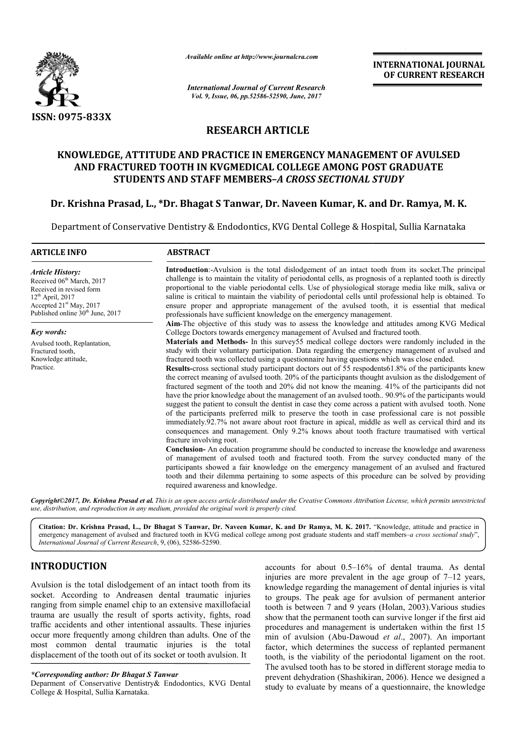

*Available online at http://www.journal http://www.journalcra.com*

*International Journal of Current Research Vol. 9, Issue, 06, pp.52586-52590, June, 2017*

**INTERNATIONAL JOURNAL OF CURRENT RESEARCH** 

# **RESEARCH ARTICLE**

# **KNOWLEDGE, ATTITUDE AND PRACTICE IN EMERGENCY MANAGEMENT OF AVULSED KNOWLEDGE, ATTITUDE AND PRACTICE OF AVULSED AND FRACTURED TOOTH IN KVGMEDICAL COLLEGE AMONG POST GRADUATE STUDENTS AND STAFF MEMBERS MEMBERS–***A CROSS SECTIONAL STUDY*

## **Dr. Krishna Prasad, L., \*Dr. Bhagat S Tanwar, Dr. Naveen Kumar, K. and Dr and Dr. Ramya, M. K.**

Department of Conservative Dentistry & Endodontics, KVG Dental College & Hospital, Sullia Karnataka

# **ARTICLE INFO ABSTRACT Introduction**: Avulsion is the total dislodgement of an intact tooth from its socket. The principal challenge is to maintain the vitality of periodontal cells, as prognosis of a replanted tooth is directly proportional to the viable periodontal cells. Use of physiological storage media like milk, saliva or saline is critical to maintain the viability of periodontal cells until professional help is obtained. To ensure proper and appropriate management of the avulsed tooth, it is essential that medical professionals have sufficient knowledge on the emergency management. Aim-The objective of this study was to assess the knowledge and attitudes among College Doctors towards emergency management of Avulsed and fractured tooth College Doctors towards and fractured tooth. **Materials and Methods-** In this survey55 medical college doctors were randomly included in the study with their voluntary participation. Data regarding the emergency management of avulsed and fractured tooth was collected using a questionnaire having questions which was close ended. **Results Results-**cross sectional study participant doctors out of 55 respodents61.8% of the participants knew the correct meaning of avulsed tooth. 20% of the participants thought avulsion as the dislodgement of fractured segment of the tooth and 20% did not know the meaning. 41% of the participants did not have the prior knowledge about the management of an avulsed tooth.. 90.9% of the participants would suggest the patient to consult the dentist in case they come across a patient with avulsed tooth. None of the participants preferred milk to preserve the tooth in case professional care is not possible immediately.92.7% not aware about root fracture in apical, middle as well as cervical third and its consequences and management. Only 9.2% knows about tooth fracture traumatised with vertical fracture involving root. **Conclusion Conclusion-** An education programme should be conducted to increase the knowledge and awareness of the participants preferred milk to preserve the tooth in case professional care is not possible immediately.92.7% not aware about root fracture in apical, middle as well as cervical third and its consequences and manage participants showed a fair knowledge on the emergency management of an avulsed and fractured participants showed a fair knowledge on the emergency management of an avulsed and fractured tooth and their dilemma pertaining to some aspects of this procedure can be solved by providing required awareness and knowledge. *Article History:* Received 06<sup>th</sup> March, 2017 Received in revised form  $12<sup>th</sup>$  April, 2017 Accepted 21<sup>st</sup> May, 2017 Published online 30<sup>th</sup> June, 2017 *Key words:* Avulsed tooth, Replantation, Fractured tooth, Knowledge attitude, Practice. challenge is to maintain the vitality of periodontal cells, as prognosis of a replanted tooth is directly proportional to the viable periodontal cells. Use of physiological storage media like milk, saliva or saline is crit study with their voluntary participation. Data regarding the emergency management of avulsed and fractured tooth was collected using a questionaire having questions which was close ended.<br>**Results**-cross sectional study pa **TERNATIONAL JOURNAL SOF CURRENT RESEARCH**<br> **OF CURRENT RESEARCH**<br> **OF CURRENT RESEARCH**<br> **CUDY**<br> **CUDY**<br> **CUDY**<br> **CUDY**<br> **CUDY**<br> **CUDY**<br> **CUDY**<br> **CUDY**<br> **CUDY**<br> **CUDY**<br> **CUDY**<br> **CUDY**<br> **CUDY**<br> **CUDY**<br> **CUDY**<br> **CUDY**<br> **CU**

*Copyright©2017, Dr. Krishna Prasad et al. Thisis an open access article distributed under the Creative Commons Att is Attribution License, which ribution permits unrestricted use, distribution, and reproduction in any medium, provided the original work is properly cited.*

**Citation: Dr. Krishna Prasad, L., Dr Bhagat S Tanwar, Dr. Naveen Kumar, K. and Dr Ramya, M. K. 2017.** "Knowledge, attitude and practice in emergency management of avulsed and fractured tooth in KVG medical college among post graduate students and staff members–*a cross sectional study*", *International Journal of Current Research*, 9, (06), 52586 52586-52590.

# **INTRODUCTION**

Avulsion is the total dislodgement of an intact tooth from its socket. According to Andreasen dental traumatic injuries ranging from simple enamel chip to an extensive maxillofacial trauma are usually the result of sports activity, fights, road traffic accidents and other intentional assaults. These injuries occur more frequently among children than adults. One of the most common dental traumatic injuries is the total displacement of the tooth out of its socket or tooth avulsion. It

#### *\*Corresponding author: Dr Bhagat S Tanwar*

Deparment of Conservative Dentistry& Endodontics, KVG Dental College & Hospital, Sullia Karnataka.

**JCTION**<br>
the total dislodgement of an intact tooth from its<br>
cording to Andreasen dental traumatic injuries<br>
cording to Andreasen dental traumatic injuries<br>
to groups. The peak age for avulsion of permanent anterior<br>
in s accounts for about  $0.5{\text -}16\%$  of dental trauma. As dental injuries are more prevalent in the age group of  $7{\text -}12$  years, knowledge regarding the management of dental injuries is vital knowledge regarding the management of dental injuries is vital<br>to groups. The peak age for avulsion of permanent anterior tooth is between 7 and 9 years (Holan, 2003).Various studies show that the permanent tooth can survive longer if the first aid procedures and management is undertaken within the first 15 min of avulsion (Abu-Dawoud Dawoud *et al*., 2007). An important factor, which determines the success of replanted permanent tooth, is the viability of the periodontal ligament on the root. The avulsed tooth has to be stored in different storage media to prevent dehydration (Shashikiran, 2006 Shashikiran, 2006). Hence we designed a study to evaluate by means of a questionnaire, the knowledge the success of replanted permanent<br>the periodontal ligament on the root.<br>be stored in different storage media to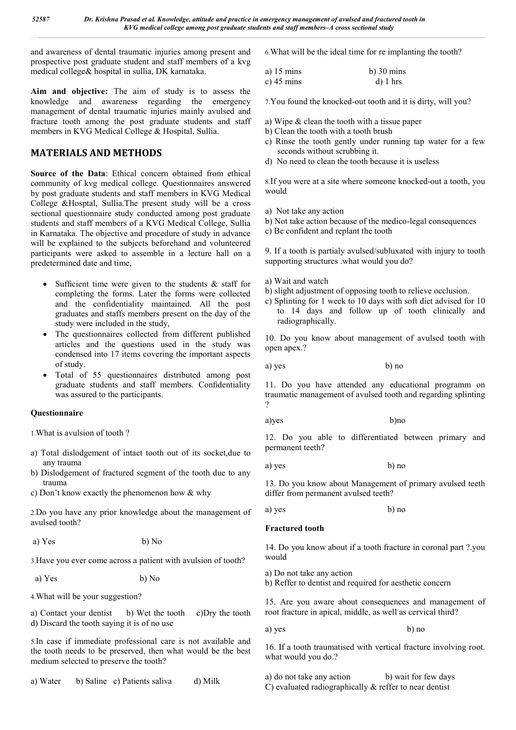and awareness of dental traumatic injuries among present and prospective post graduate student and staff members of a kvg medical college& hospital in sullia, DK karnataka.

**Aim and objective:** The aim of study is to assess the knowledge and awareness regarding the emergency management of dental traumatic injuries mainly avulsed and fracture tooth among the post graduate students and staff members in KVG Medical College & Hospital, Sullia.

# **MATERIALS AND METHODS**

**Source of the Data**: Ethical concern obtained from ethical community of kvg medical college. Questionnaires answered by post graduate students and staff members in KVG Medical College &Hosptal, Sullia.The present study will be a cross sectional questionnaire study conducted among post graduate students and staff members of a KVG Medical College, Sullia in Karnataka. The objective and procedure of study in advance will be explained to the subjects beforehand and volunteered participants were asked to assemble in a lecture hall on a predetermined date and time,

- Sufficient time were given to the students & staff for completing the forms. Later the forms were collected and the confidentiality maintained. All the post graduates and staffs members present on the day of the study were included in the study,
- The questionnaires collected from different published articles and the questions used in the study was condensed into 17 items covering the important aspects of study.
- Total of 55 questionnaires distributed among post graduate students and staff members. Confidentiality was assured to the participants.

## **Questionnaire**

1.What is avulsion of tooth ?

- a) Total dislodgement of intact tooth out of its socket,due to any trauma
- b) Dislodgement of fractured segment of the tooth due to any trauma
- c) Don't know exactly the phenomenon how & why

2.Do you have any prior knowledge about the management of avulsed tooth?

a) Yes b) No

3.Have you ever come across a patient with avulsion of tooth?

a) Yes b) No

4.What will be your suggestion?

a) Contact your dentist b) Wet the tooth c)Dry the tooth d) Discard the tooth saying it is of no use

5.In case if immediate professional care is not available and the tooth needs to be preserved, then what would be the best medium selected to preserve the tooth?

a) Water b) Saline c) Patients saliva d) Milk

6.What will be the ideal time for re implanting the tooth?

| a) $15 \text{ mins}$ | $b)$ 30 mins |
|----------------------|--------------|
| c) $45 \text{ mins}$ | $d)$ 1 hrs   |

7.You found the knocked-out tooth and it is dirty, will you?

- a) Wipe & clean the tooth with a tissue paper
- b) Clean the tooth with a tooth brush
- c) Rinse the tooth gently under running tap water for a few seconds without scrubbing it.
- d) No need to clean the tooth because it is useless

8.If you were at a site where someone knocked-out a tooth, you would

- a) Not take any action
- b) Not take action because of the medico-legal consequences
- c) Be confident and replant the tooth

9. If a tooth is partialy avulsed/subluxated with injury to tooth supporting structures .what would you do?

- a) Wait and watch
- b) slight adjustment of opposing tooth to relieve occlusion.
- c) Splinting for 1 week to 10 days with soft diet advised for 10 to 14 days and follow up of tooth clinically and radiographically.

10. Do you know about management of avulsed tooth with open apex.?

a) yes b) no

11. Do you have attended any educational programm on traumatic management of avulsed tooth and regarding splinting ?

a)yes b)no

12. Do you able to differentiated between primary and permanent teeth?

a) yes b) no

13. Do you know about Management of primary avulsed teeth differ from permanent avulsed teeth?

a) yes b) no

## **Fractured tooth**

14. Do you know about if a tooth fracture in coronal part ?.you would

a) Do not take any action

b) Reffer to dentist and required for aesthetic concern

15. Are you aware about consequences and management of root fracture in apical, middle, as well as cervical third?

a) yes b) no

16. If a tooth traumatised with vertical fracture involving root. what would you do.?

a) do not take any action b) wait for few days C) evaluated radiographically & reffer to near dentist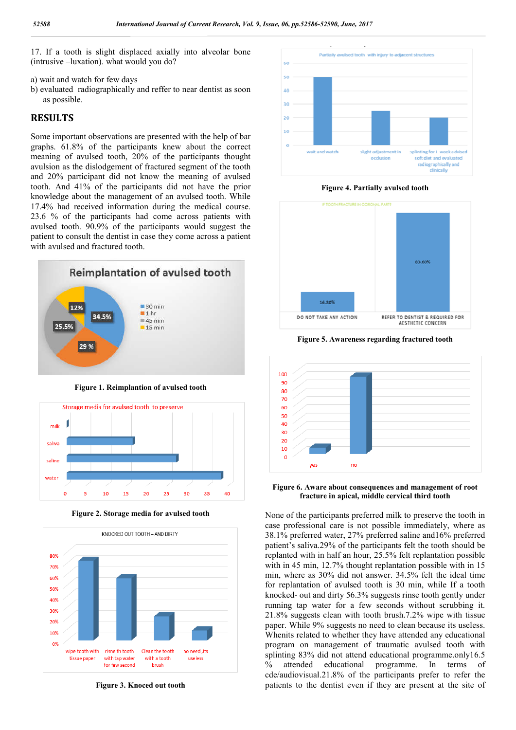17. If a tooth is slight displaced axially into alveolar bone (intrusive –luxation). what would you do?

- a) wait and watch for few days
- b) evaluated radiographically and reffer to near dentist as soon as possible.

#### **RESULTS**

Some important observations are presented with the help of bar graphs. 61.8% of the participants knew about the correct meaning of avulsed tooth, 20% of the participants thought avulsion as the dislodgement of fractured segment of the tooth and 20% participant did not know the meaning of avulsed tooth. And 41% of the participants did not have the prior knowledge about the management of an avulsed tooth. While 17.4% had received information during the medical course. 23.6 % of the participants had come across patients with avulsed tooth. 90.9% of the participants would suggest the patient to consult the dentist in case they come across a patient with avulsed and fractured tooth.



**Figure 1. Reimplantion of avulsed tooth**



**Figure 2. Storage media for avulsed tooth**



**Figure 3. Knoced out tooth**



**Figure 4. Partially avulsed tooth**



**Figure 5. Awareness regarding fractured tooth**



**Figure 6. Aware about consequences and management of root fracture in apical, middle cervical third tooth**

None of the participants preferred milk to preserve the tooth in case professional care is not possible immediately, where as 38.1% preferred water, 27% preferred saline and16% preferred patient's saliva.29% of the participants felt the tooth should be replanted with in half an hour, 25.5% felt replantation possible with in 45 min, 12.7% thought replantation possible with in 15 min, where as 30% did not answer. 34.5% felt the ideal time for replantation of avulsed tooth is 30 min, while If a tooth knocked- out and dirty 56.3% suggests rinse tooth gently under running tap water for a few seconds without scrubbing it. 21.8% suggests clean with tooth brush.7.2% wipe with tissue paper. While 9% suggests no need to clean because its useless. Whenits related to whether they have attended any educational program on management of traumatic avulsed tooth with splinting 83% did not attend educational programme.only16.5 % attended educational programme. In terms of cde/audiovisual.21.8% of the participants prefer to refer the patients to the dentist even if they are present at the site of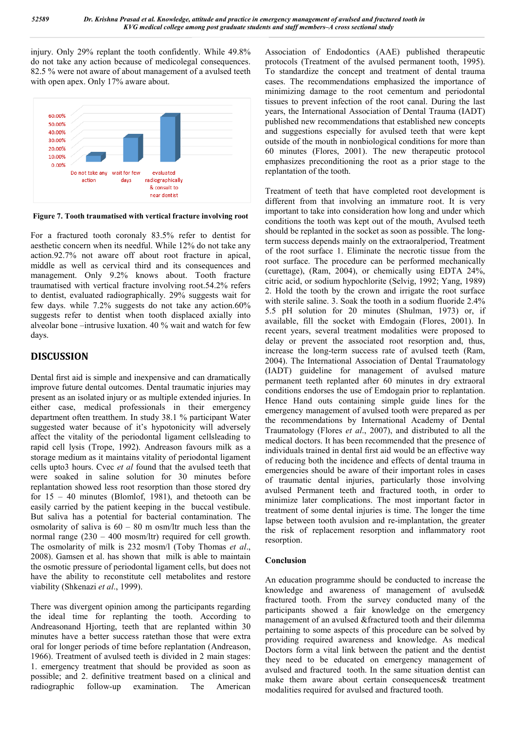injury. Only 29% replant the tooth confidently. While 49.8% do not take any action because of medicolegal consequences. 82.5 % were not aware of about management of a avulsed teeth with open apex. Only 17% aware about.



**Figure 7. Tooth traumatised with vertical fracture involving root**

For a fractured tooth coronaly 83.5% refer to dentist for aesthetic concern when its needful. While 12% do not take any action.92.7% not aware off about root fracture in apical, middle as well as cervical third and its consequences and management. Only 9.2% knows about. Tooth fracture traumatised with vertical fracture involving root.54.2% refers to dentist, evaluated radiographically. 29% suggests wait for few days. while 7.2% suggests do not take any action.60% suggests refer to dentist when tooth displaced axially into alveolar bone –intrusive luxation. 40 % wait and watch for few days.

# **DISCUSSION**

Dental first aid is simple and inexpensive and can dramatically improve future dental outcomes. Dental traumatic injuries may present as an isolated injury or as multiple extended injuries. In either case, medical professionals in their emergency department often treatthem. In study 38.1 % participant Water suggested water because of it's hypotonicity will adversely affect the vitality of the periodontal ligament cellsleading to rapid cell lysis (Trope, 1992). Andreason favours milk as a storage medium as it maintains vitality of periodontal ligament cells upto3 hours. Cvec *et al* found that the avulsed teeth that were soaked in saline solution for 30 minutes before replantation showed less root resorption than those stored dry for 15 – 40 minutes (Blomlof, 1981), and thetooth can be easily carried by the patient keeping in the buccal vestibule. But saliva has a potential for bacterial contamination. The osmolarity of saliva is  $60 - 80$  m osm/ltr much less than the normal range (230 – 400 mosm/ltr) required for cell growth. The osmolarity of milk is 232 mosm/l (Toby Thomas *et al*., 2008). Gamsen et al. has shown that milk is able to maintain the osmotic pressure of periodontal ligament cells, but does not have the ability to reconstitute cell metabolites and restore viability (Shkenazi *et al*., 1999).

There was divergent opinion among the participants regarding the ideal time for replanting the tooth. According to Andreasonand Hjorting, teeth that are replanted within 30 minutes have a better success ratethan those that were extra oral for longer periods of time before replantation (Andreason, 1966). Treatment of avulsed teeth is divided in 2 main stages: 1. emergency treatment that should be provided as soon as possible; and 2. definitive treatment based on a clinical and radiographic follow-up examination. The American

Association of Endodontics (AAE) published therapeutic protocols (Treatment of the avulsed permanent tooth, 1995). To standardize the concept and treatment of dental trauma cases. The recommendations emphasized the importance of minimizing damage to the root cementum and periodontal tissues to prevent infection of the root canal. During the last years, the International Association of Dental Trauma (IADT) published new recommendations that established new concepts and suggestions especially for avulsed teeth that were kept outside of the mouth in nonbiological conditions for more than 60 minutes (Flores, 2001). The new therapeutic protocol emphasizes preconditioning the root as a prior stage to the replantation of the tooth.

Treatment of teeth that have completed root development is different from that involving an immature root. It is very important to take into consideration how long and under which conditions the tooth was kept out of the mouth, Avulsed teeth should be replanted in the socket as soon as possible. The longterm success depends mainly on the extraoralperiod, Treatment of the root surface 1. Eliminate the necrotic tissue from the root surface. The procedure can be performed mechanically (curettage), (Ram, 2004), or chemically using EDTA 24%, citric acid, or sodium hypochlorite (Selvig, 1992; Yang, 1989) 2. Hold the tooth by the crown and irrigate the root surface with sterile saline. 3. Soak the tooth in a sodium fluoride 2.4% 5.5 pH solution for 20 minutes (Shulman, 1973) or, if available, fill the socket with Emdogain (Flores, 2001). In recent years, several treatment modalities were proposed to delay or prevent the associated root resorption and, thus, increase the long-term success rate of avulsed teeth (Ram, 2004). The International Association of Dental Traumatology (IADT) guideline for management of avulsed mature permanent teeth replanted after 60 minutes in dry extraoral conditions endorses the use of Emdogain prior to replantation. Hence Hand outs containing simple guide lines for the emergency management of avulsed tooth were prepared as per the recommendations by International Academy of Dental Traumatology (Flores *et al*., 2007), and distributed to all the medical doctors. It has been recommended that the presence of individuals trained in dental first aid would be an effective way of reducing both the incidence and effects of dental trauma in emergencies should be aware of their important roles in cases of traumatic dental injuries, particularly those involving avulsed Permanent teeth and fractured tooth, in order to minimize later complications. The most important factor in treatment of some dental injuries is time. The longer the time lapse between tooth avulsion and re-implantation, the greater the risk of replacement resorption and inflammatory root resorption.

## **Conclusion**

An education programme should be conducted to increase the knowledge and awareness of management of avulsed& fractured tooth. From the survey conducted many of the participants showed a fair knowledge on the emergency management of an avulsed &fractured tooth and their dilemma pertaining to some aspects of this procedure can be solved by providing required awareness and knowledge. As medical Doctors form a vital link between the patient and the dentist they need to be educated on emergency management of avulsed and fractured tooth. In the same situation dentist can make them aware about certain consequences& treatment modalities required for avulsed and fractured tooth.